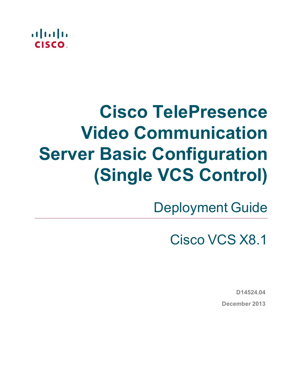

# **Cisco TelePresence Video Communication Server Basic Configuration (Single VCS Control)**

Deployment Guide

Cisco VCS X8.1

**D14524.04 December 2013**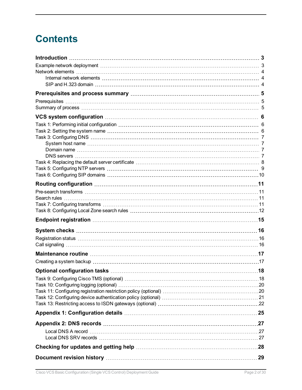## **Contents**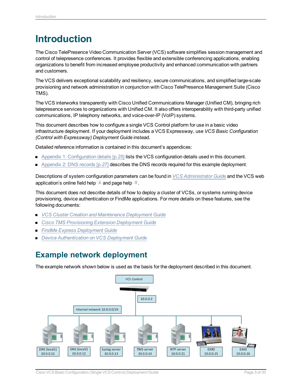## <span id="page-2-0"></span>**Introduction**

The Cisco TelePresence Video Communication Server (VCS) software simplifies session management and control of telepresence conferences. It provides flexible and extensible conferencing applications, enabling organizations to benefit from increased employee productivity and enhanced communication with partners and customers.

The VCS delivers exceptional scalability and resiliency, secure communications, and simplified large-scale provisioning and network administration in conjunction with Cisco TelePresence Management Suite (Cisco TMS).

The VCS interworks transparently with Cisco Unified Communications Manager (Unified CM), bringing rich telepresence services to organizations with Unified CM. It also offers interoperability with third-party unified communications, IP telephony networks, and voice-over-IP (VoIP) systems.

This document describes how to configure a single VCS Control platform for use in a basic video infrastructure deployment. If your deployment includes a VCS Expressway, use *VCS Basic Configuration (Control with Expressway) Deployment Guide* instead.

Detailed reference information is contained in this document's appendices:

- Appendix 1: [Configuration](#page-24-0) details [p.25] lists the VCS configuration details used in this document.
- $\blacksquare$  [Appendix](#page-26-0) 2: DNS records [p.27] describes the DNS records required for this example deployment.

Descriptions of system configuration parameters can be found in *VCS [Administrator](http://www.cisco.com/en/US/products/ps11337/prod_maintenance_guides_list.html) Guide* and the VCS web application's online field help  $\Box$  and page help  $\Box$ .

This document does not describe details of how to deploy a cluster of VCSs, or systems running device provisioning, device authentication or FindMe applications. For more details on these features, see the following documents:

- <sup>n</sup> *VCS Cluster Creation and [Maintenance](http://www.cisco.com/en/US/products/ps11337/products_installation_and_configuration_guides_list.html) Deployment Guide*
- <sup>n</sup> *Cisco TMS [Provisioning](http://www.cisco.com/en/US/products/ps11337/products_installation_and_configuration_guides_list.html) Extension Deployment Guide*
- <sup>n</sup> *FindMe Express [Deployment](http://www.cisco.com/en/US/products/ps11337/products_installation_and_configuration_guides_list.html) Guide*
- <span id="page-2-1"></span><sup>n</sup> *Device [Authentication](http://www.cisco.com/en/US/products/ps11337/products_installation_and_configuration_guides_list.html) on VCS Deployment Guide*

## **Example network deployment**

The example network shown below is used as the basis for the deployment described in this document.

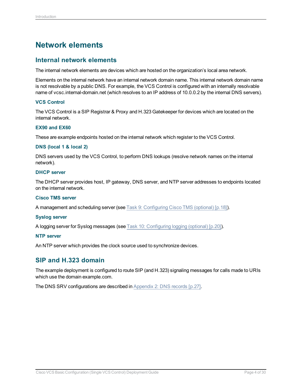## <span id="page-3-0"></span>**Network elements**

### <span id="page-3-1"></span>**Internal network elements**

The internal network elements are devices which are hosted on the organization's local area network.

Elements on the internal network have an internal network domain name. This internal network domain name is not resolvable by a public DNS. For example, the VCS Control is configured with an internally resolvable name of vcsc.internal-domain.net (which resolves to an IP address of 10.0.0.2 by the internal DNS servers).

#### **VCS Control**

The VCS Control is a SIP Registrar & Proxy and H.323 Gatekeeper for devices which are located on the internal network.

#### **EX90 and EX60**

These are example endpoints hosted on the internal network which register to the VCS Control.

#### **DNS (local 1 & local 2)**

DNS servers used by the VCS Control, to perform DNS lookups (resolve network names on the internal network).

#### **DHCP server**

The DHCP server provides host, IP gateway, DNS server, and NTP server addresses to endpoints located on the internal network.

#### **Cisco TMS server**

A management and scheduling server (see Task [9: Configuring](#page-17-1) Cisco TMS (optional) [p.18]).

#### **Syslog server**

A logging server for Syslog messages (see Task 10: [Configuring](#page-19-0) logging (optional) [p.20]).

#### **NTP server**

<span id="page-3-2"></span>An NTP server which provides the clock source used to synchronize devices.

### **SIP and H.323 domain**

The example deployment is configured to route SIP (and H.323) signaling messages for calls made to URIs which use the domain example.com.

The DNS SRV configurations are described in [Appendix](#page-26-0) 2: DNS records [p.27].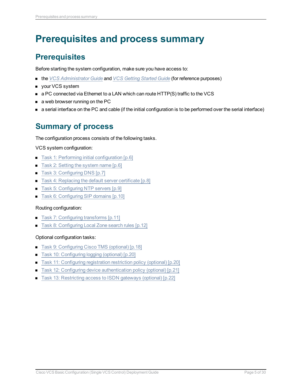## <span id="page-4-0"></span>**Prerequisites and process summary**

## <span id="page-4-1"></span>**Prerequisites**

Before starting the system configuration, make sure you have access to:

- <sup>n</sup> the *VCS [Administrator](http://www.cisco.com/en/US/products/ps11337/prod_maintenance_guides_list.html) Guide* and *VCS [Getting](http://www.cisco.com/en/US/products/ps11337/prod_installation_guides_list.html) Started Guide* (for reference purposes)
- **n** your VCS system
- a PC connected via Ethernet to a LAN which can route HTTP(S) traffic to the VCS
- $\blacksquare$  a web browser running on the PC
- <span id="page-4-2"></span>n a serial interface on the PC and cable (if the initial configuration is to be performed over the serial interface)

## **Summary of process**

The configuration process consists of the following tasks.

#### VCS system configuration:

- $\blacksquare$  Task 1: Performing initial [configuration \[p.6\]](#page-5-1)
- Task 2: Setting the [system](#page-5-2) name [p.6]
- Task 3: [Configuring](#page-6-0) DNS [p.7]
- Task 4: [Replacing](#page-7-0) the default server certificate [p.8]
- Task 5: [Configuring](#page-8-0) NTP servers [p.9]
- Task 6: [Configuring](#page-9-0) SIP domains [p.10]

#### Routing configuration:

- Task 7: [Configuring](#page-10-3) transforms [p.11]
- Task 8: [Configuring](#page-11-0) Local Zone search rules [p.12]

### Optional configuration tasks:

- Task [9: Configuring](#page-17-1) Cisco TMS (optional) [p.18]
- Task 10: [Configuring](#page-19-0) logging (optional) [p.20]
- Task 11: [Configuring](#page-19-1) registration restriction policy (optional) [p.20]
- Task 12: Configuring device [authentication](#page-20-0) policy (optional) [p.21]
- Task 13: [Restricting](#page-21-0) access to ISDN gateways (optional) [p.22]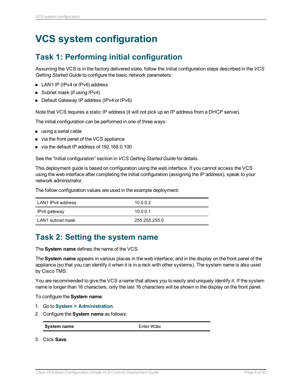## <span id="page-5-1"></span><span id="page-5-0"></span>**VCS system configuration**

## **Task 1: Performing initial configuration**

Assuming the VCS is in the factory delivered state, follow the Initial configuration steps described in the *VCS Getting Started Guide* to configure the basic network parameters:

- LAN1 IP (IPv4 or IPv6) address
- $\blacksquare$  Subnet mask (if using IPv4)
- Default Gateway IP address (IPv4 or IPv6)

Note that VCS requires a static IP address (it will not pick up an IP address from a DHCP server).

The initial configuration can be performed in one of three ways:

- using a serial cable
- via the front panel of the VCS appliance
- via the default IP address of 192, 168, 0, 100

See the "Initial configuration" section in *VCS Getting Started Guide* for details.

This deployment guide is based on configuration using the web interface. If you cannot access the VCS using the web interface after completing the initial configuration (assigning the IP address), speak to your network administrator.

The follow configuration values are used in the example deployment:

| LAN1 IPv4 address | 10.0.0.2      |
|-------------------|---------------|
| IPv4 gateway      | 10.0.0.1      |
| LAN1 subnet mask  | 255.255.255.0 |

### <span id="page-5-2"></span>**Task 2: Setting the system name**

The **System name** defines the name of the VCS.

The **System name** appears in various places in the web interface, and in the display on the front panel of the appliance (so that you can identify it when it is in a rack with other systems). The system name is also used by Cisco TMS.

You are recommended to give the VCS a name that allows you to easily and uniquely identify it. If the system name is longer than 16 characters, only the last 16 characters will be shown in the display on the front panel.

To configure the **System name**:

- 1. Go to **System > Administration**.
- 2. Configure the **System name** as follows:

**System name** Enter **VCSc** 

3. Click **Save**.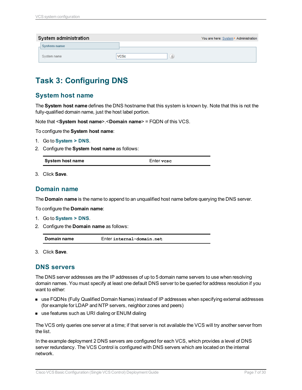| System administration |                 | You are here: System > Administration |
|-----------------------|-----------------|---------------------------------------|
| System name           |                 |                                       |
| System name           | VCSc<br>$\iota$ |                                       |

## <span id="page-6-0"></span>**Task 3: Configuring DNS**

### <span id="page-6-1"></span>**System host name**

The **System host name** defines the DNS hostname that this system is known by. Note that this is not the fully-qualified domain name, just the host label portion.

Note that <**System host name**>.<**Domain name**> = FQDN of this VCS.

To configure the **System host name**:

- 1. Go to **System > DNS**.
- 2. Configure the **System host name** as follows:

| System host name | Enter vese |  |
|------------------|------------|--|
|------------------|------------|--|

<span id="page-6-2"></span>3. Click **Save**.

### **Domain name**

The **Domain name** is the name to append to an unqualified host name before querying the DNS server.

To configure the **Domain name**:

- 1. Go to **System > DNS**.
- 2. Configure the **Domain name** as follows:

| Domain name<br>Enter internal-domain.net |  |
|------------------------------------------|--|
|------------------------------------------|--|

<span id="page-6-3"></span>3. Click **Save**.

### **DNS servers**

The DNS server addresses are the IP addresses of up to 5 domain name servers to use when resolving domain names. You must specify at least one default DNS server to be queried for address resolution if you want to either:

- **n** use FQDNs (Fully Qualified Domain Names) instead of IP addresses when specifying external addresses (for example for LDAP and NTP servers, neighbor zones and peers)
- use features such as URI dialing or ENUM dialing

The VCS only queries one server at a time; if that server is not available the VCS will try another server from the list.

In the example deployment 2 DNS servers are configured for each VCS, which provides a level of DNS server redundancy. The VCS Control is configured with DNS servers which are located on the internal network.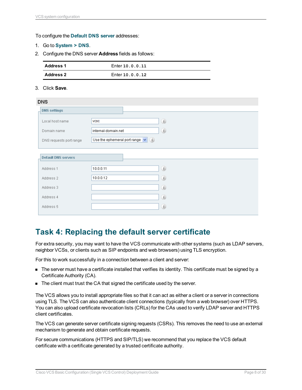#### To configure the **Default DNS server** addresses:

- 1. Go to **System > DNS**.
- 2. Configure the DNS server **Address** fields as follows:

| <b>Address 1</b> | Enter 10.0.0.11 |
|------------------|-----------------|
| <b>Address 2</b> | Enter 10.0.0.12 |

#### 3. Click **Save**.

| <b>DNS</b>                 |                     |                                                              |               |  |
|----------------------------|---------------------|--------------------------------------------------------------|---------------|--|
| <b>DNS settings</b>        |                     |                                                              |               |  |
| Local host name            | <b>VCSC</b>         |                                                              | (i)           |  |
| Domain name                | internal-domain.net |                                                              | (i)           |  |
| DNS requests port range    |                     | Use the ephemeral port range $\left  \mathbf{v} \right $ (i) |               |  |
| <b>Default DNS servers</b> |                     |                                                              |               |  |
| Address 1                  | 10.0.0.11           |                                                              | (i)           |  |
| Address 2                  | 10.0.0.12           |                                                              | (i)           |  |
| Address 3                  |                     |                                                              | (i)           |  |
| Address 4                  |                     |                                                              | (i)           |  |
| Address 5                  |                     |                                                              | $\circled{i}$ |  |
|                            |                     |                                                              |               |  |

### <span id="page-7-0"></span>**Task 4: Replacing the default server certificate**

For extra security, you may want to have the VCS communicate with other systems (such as LDAP servers, neighbor VCSs, or clients such as SIP endpoints and web browsers) using TLS encryption.

For this to work successfully in a connection between a client and server:

- n The server must have a certificate installed that verifies its identity. This certificate must be signed by a Certificate Authority (CA).
- The client must trust the CA that signed the certificate used by the server.

The VCS allows you to install appropriate files so that it can act as either a client or a server in connections using TLS. The VCS can also authenticate client connections (typically from a web browser) over HTTPS. You can also upload certificate revocation lists (CRLs) for the CAs used to verify LDAP server and HTTPS client certificates.

The VCS can generate server certificate signing requests (CSRs). This removes the need to use an external mechanism to generate and obtain certificate requests.

For secure communications (HTTPS and SIP/TLS) we recommend that you replace the VCS default certificate with a certificate generated by a trusted certificate authority.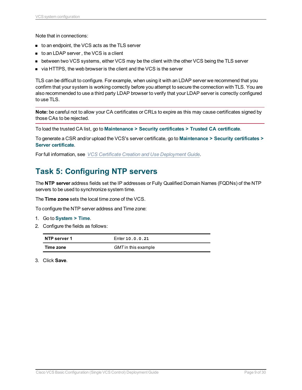Note that in connections:

- to an endpoint, the VCS acts as the TLS server
- to an LDAP server, the VCS is a client
- **Detween two VCS systems, either VCS may be the client with the other VCS being the TLS server**
- $\blacksquare$  via HTTPS, the web browser is the client and the VCS is the server

TLS can be difficult to configure. For example, when using it with an LDAP server we recommend that you confirm that your system is working correctly before you attempt to secure the connection with TLS. You are also recommended to use a third party LDAP browser to verify that your LDAP server is correctly configured to use TLS.

**Note:** be careful not to allow your CA certificates or CRLs to expire as this may cause certificates signed by those CAs to be rejected.

To load the trusted CA list, go to **Maintenance > Security certificates > Trusted CA certificate**.

To generate a CSR and/or upload the VCS's server certificate, go to **Maintenance > Security certificates > Server certificate**.

<span id="page-8-0"></span>For full information, see *VCS Certificate Creation and Use [Deployment](http://www.cisco.com/en/US/products/ps11337/products_installation_and_configuration_guides_list.html) Guide*.

## **Task 5: Configuring NTP servers**

The **NTP server** address fields set the IP addresses or Fully Qualified Domain Names (FQDNs) of the NTP servers to be used to synchronize system time.

The **Time zone** sets the local time zone of the VCS.

To configure the NTP server address and Time zone:

- 1. Go to **System > Time**.
- 2. Configure the fields as follows:

| NTP server 1 | Enter 10.0.0.21     |
|--------------|---------------------|
| Time zone    | GMT in this example |

3. Click **Save**.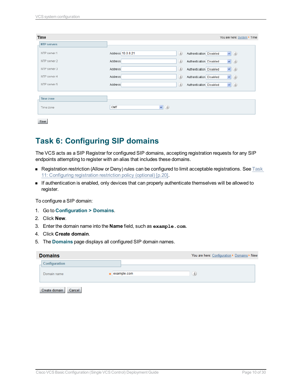| Time               |                          | You are here: System Fime             |
|--------------------|--------------------------|---------------------------------------|
| <b>NTP servers</b> |                          |                                       |
| NTP server 1       | Address 10.0.0.21<br>(i) | $\vee$ (i)<br>Authentication Disabled |
| NTP server 2       | $\omega$<br>Address      | $\vee$ 0<br>Authentication Disabled   |
| NTP server 3       | (i)<br>Address           | $\vee$ (i)<br>Authentication Disabled |
| NTP server 4       | (i)<br>Address           | $\vee$ (i)<br>Authentication Disabled |
| NTP server 5       | (i)<br>Address           | $\vee$ (i)<br>Authentication Disabled |
|                    |                          |                                       |
| <b>Time zone</b>   |                          |                                       |
| Time zone          | $\vee$ (i)<br>GMT        |                                       |
| Save               |                          |                                       |

## <span id="page-9-0"></span>**Task 6: Configuring SIP domains**

The VCS acts as a SIP Registrar for configured SIP domains, accepting registration requests for any SIP endpoints attempting to register with an alias that includes these domains.

- <sup>n</sup> Registration restriction (Allow or Deny) rules can be configured to limit acceptable registrations. See [Task](#page-19-1) 11: [Configuring](#page-19-1) registration restriction policy (optional) [p.20].
- <sup>n</sup> If authentication is enabled, only devices that can properly authenticate themselves will be allowed to register.

To configure a SIP domain:

- 1. Go to **Configuration > Domains**.
- 2. Click **New**.
- 3. Enter the domain name into the **Name** field, such as **example.com**.
- 4. Click **Create domain**.
- 5. The **Domains** page displays all configured SIP domain names.

| <b>Domains</b>          |             | You are here: Configuration > Domains > New |
|-------------------------|-------------|---------------------------------------------|
| Configuration           |             |                                             |
| Domain name             | example.com | $\hat{u}$                                   |
| Create domain<br>Cancel |             |                                             |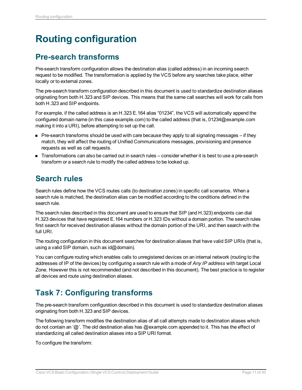## <span id="page-10-0"></span>**Routing configuration**

### <span id="page-10-1"></span>**Pre-search transforms**

Pre-search transform configuration allows the destination alias (called address) in an incoming search request to be modified. The transformation is applied by the VCS before any searches take place, either locally or to external zones.

The pre-search transform configuration described in this document is used to standardize destination aliases originating from both H.323 and SIP devices. This means that the same call searches will work for calls from both H.323 and SIP endpoints.

For example, if the called address is an H.323 E.164 alias "01234", the VCS will automatically append the configured domain name (in this case example.com) to the called address (that is, 01234@example.com making it into a URI), before attempting to set up the call.

- Pre-search transforms should be used with care because they apply to all signaling messages if they match, they will affect the routing of Unified Communications messages, provisioning and presence requests as well as call requests.
- Transformations can also be carried out in search rules consider whether it is best to use a pre-search transform or a search rule to modify the called address to be looked up.

## <span id="page-10-2"></span>**Search rules**

Search rules define how the VCS routes calls (to destination zones) in specific call scenarios. When a search rule is matched, the destination alias can be modified according to the conditions defined in the search rule.

The search rules described in this document are used to ensure that SIP (and H.323) endpoints can dial H.323 devices that have registered E.164 numbers or H.323 IDs without a domain portion. The search rules first search for received destination aliases without the domain portion of the URI, and then search with the full URI.

The routing configuration in this document searches for destination aliases that have valid SIP URIs (that is, using a valid SIP domain, such as  $id@domain$ .

You can configure routing which enables calls to unregistered devices on an internal network (routing to the addresses of IP of the devices) by configuring a search rule with a mode of *Any IP address* with target Local Zone. However this is not recommended (and not described in this document). The best practice is to register all devices and route using destination aliases.

## <span id="page-10-3"></span>**Task 7: Configuring transforms**

The pre-search transform configuration described in this document is used to standardize destination aliases originating from both H.323 and SIP devices.

The following transform modifies the destination alias of all call attempts made to destination aliases which do not contain an '@'. The old destination alias has @example.com appended to it. This has the effect of standardizing all called destination aliases into a SIP URI format.

To configure the transform: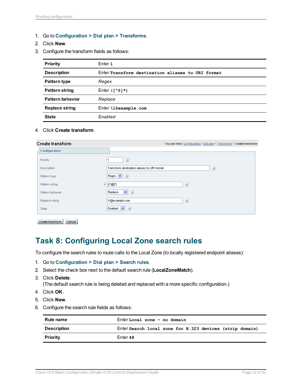- 1. Go to **Configuration > Dial plan > Transforms**.
- 2. Click **New**.
- 3. Configure the transform fields as follows:

| Priority                | Enter 1                                           |
|-------------------------|---------------------------------------------------|
| <b>Description</b>      | Enter Transform destination aliases to URI format |
| Pattern type            | Regex                                             |
| <b>Pattern string</b>   | Enter $(1^0$ ( $\ast$ )                           |
| <b>Pattern behavior</b> | Replace                                           |
| <b>Replace string</b>   | $Enter \10$ example.com                           |
| <b>State</b>            | Enabled                                           |

4. Click **Create transform**.

| <b>Create transform</b> | You are here: Configuration > Dial plan > Transforms > Create transform |
|-------------------------|-------------------------------------------------------------------------|
| Configuration           |                                                                         |
| Priority                | (i)<br>1                                                                |
| Description             | (i)<br>Transform destination aliases to URI format                      |
| Pattern type            | Regex $\vee$ ( <i>i</i> )                                               |
| Pattern string          | (i)<br>$*$ (( $^*$ ( $^*$ ))                                            |
| Pattern behavior        | $\vee$ (i)<br>Replace                                                   |
| Replace string          | $\circled{i}$<br>M@example.com                                          |
| State                   | Enabled $\vert \mathbf{v} \vert$ $(i)$                                  |
|                         |                                                                         |

<span id="page-11-0"></span>Create transform | Cancel

### **Task 8: Configuring Local Zone search rules**

To configure the search rules to route calls to the Local Zone (to locally registered endpoint aliases):

- 1. Go to **Configuration > Dial plan > Search rules**.
- 2. Select the check box next to the default search rule (**LocalZoneMatch**).
- 3. Click **Delete**.

(The default search rule is being deleted and replaced with a more specific configuration.)

- 4. Click **OK**.
- 5. Click **New**.
- 6. Configure the search rule fields as follows:

| Rule name          | Enter Local zone - no domain                             |  |  |
|--------------------|----------------------------------------------------------|--|--|
| <b>Description</b> | Enter Search local zone for H.323 devices (strip domain) |  |  |
| <b>Priority</b>    | Enter 48                                                 |  |  |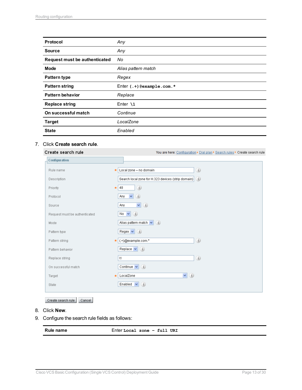| <b>Protocol</b>               | Any                             |
|-------------------------------|---------------------------------|
| <b>Source</b>                 | Any                             |
| Request must be authenticated | No                              |
| <b>Mode</b>                   | Alias pattern match             |
| <b>Pattern type</b>           | Regex                           |
| <b>Pattern string</b>         | Enter $( . + )$ @example.com. * |
| <b>Pattern behavior</b>       | Replace                         |
| <b>Replace string</b>         | Enter $\lambda$ 1               |
| On successful match           | Continue                        |
| <b>Target</b>                 | LocalZone                       |
| <b>State</b>                  | Enabled                         |

#### 7. Click **Create search rule**.

| Create search rule            | You are here: Configuration > Dial plan > Search rules > Create search rule |
|-------------------------------|-----------------------------------------------------------------------------|
| <b>Configuration</b>          |                                                                             |
| Rule name                     | (i)<br>Local zone - no domain                                               |
| Description                   | Search local zone for H.323 devices (strip domain) $(i)$                    |
| Priority                      | (i)<br>48<br>÷                                                              |
| Protocol                      | $\checkmark$<br>(i)<br>Any                                                  |
| Source                        | (i)<br>$\checkmark$<br>Any                                                  |
| Request must be authenticated | No $\vee$ 0                                                                 |
| Mode                          | Alias pattern match $\left  \mathbf{v} \right $ (i)                         |
| Pattern type                  | Regex $\mathbf{v}$ (i)                                                      |
| Pattern string                | (i)<br>(.+)@example.com.*<br>ŵ                                              |
| Pattern behavior              | Replace $\vert \mathbf{v} \vert$ $(i)$                                      |
| Replace string                | (i)<br>$\lambda$ 1                                                          |
| On successful match           | (i)<br>Continue $\vert \mathbf{v} \vert$                                    |
| Target                        | $\vee$ (i)<br>LocalZone                                                     |
| State                         | Enabled $\vert \mathbf{v} \vert$<br>(i)                                     |
|                               |                                                                             |

Create search rule | Cancel

- 8. Click **New**.
- 9. Configure the search rule fields as follows:

**Rule name** Enter **Local zone – full URI**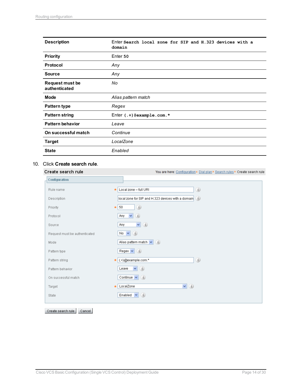| <b>Description</b>                      | Enter Search local zone for SIP and H.323 devices with a<br>domain |  |
|-----------------------------------------|--------------------------------------------------------------------|--|
| <b>Priority</b>                         | Enter 50                                                           |  |
| Protocol                                | Any                                                                |  |
| <b>Source</b>                           | Any                                                                |  |
| <b>Request must be</b><br>authenticated | No                                                                 |  |
| Mode                                    | Alias pattern match                                                |  |
| <b>Pattern type</b>                     | Regex                                                              |  |
| <b>Pattern string</b>                   | Enter $( . + )$ @example.com. *                                    |  |
| <b>Pattern behavior</b>                 | Leave                                                              |  |
| On successful match                     | Continue                                                           |  |
| <b>Target</b>                           | LocalZone                                                          |  |
| <b>State</b>                            | Enabled                                                            |  |

#### 10. Click **Create search rule**.

#### Create search rule

Configuration

Rule name

Local zone - full URI  $(i)$ 

You are here: Configuration  $\blacktriangleright$  Dial plan  $\blacktriangleright$  Search rules  $\blacktriangleright$  Create search rule

| Description                   | --<br>local zone for SIP and H.323 devices with a domain $(i)$ |
|-------------------------------|----------------------------------------------------------------|
| Priority                      | (i)<br>50<br>$\frac{1}{2\pi}$                                  |
| Protocol                      | (i)<br>$\checkmark$<br>Any                                     |
| Source                        | $\vee$ (i)<br>Any                                              |
| Request must be authenticated | No $\vee$ 0                                                    |
| Mode                          | Alias pattern match $\left \mathbf{v}\right $ (i)              |
| Pattern type                  | Regex $\mathbf{v}$ (i)                                         |
| Pattern string                | (i)<br>(.+)@example.com.*<br>$\star$                           |
| Pattern behavior              | $\vee$ (i)<br>Leave                                            |
| On successful match           | Continue $\vert \mathbf{v} \vert$ ( <i>i</i> )                 |
| Target                        | $\vee$ (i)<br>LocalZone<br>$\star$                             |
| State                         | Enabled $\vert \mathbf{v} \vert$ ( <i>i</i> )                  |
|                               |                                                                |

Create search rule Cancel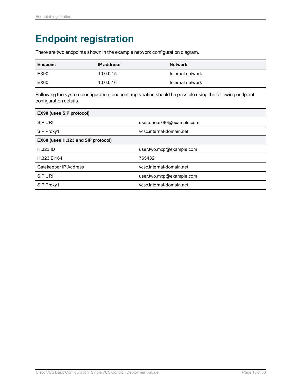## <span id="page-14-0"></span>**Endpoint registration**

There are two endpoints shown in the example network configuration diagram.

| <b>Endpoint</b> | <b>IP</b> address | <b>Network</b>   |
|-----------------|-------------------|------------------|
| EX90            | 10.0.0.15         | Internal network |
| EX60            | 10.0.0.16         | Internal network |

Following the system configuration, endpoint registration should be possible using the following endpoint configuration details:

| <b>EX90 (uses SIP protocol)</b>    |                           |  |  |
|------------------------------------|---------------------------|--|--|
| SIP URI                            | user.one.ex90@example.com |  |  |
| SIP Proxy1                         | vcsc.internal-domain.net  |  |  |
| EX60 (uses H.323 and SIP protocol) |                           |  |  |
| <b>H.323 ID</b>                    | user.two.mxp@example.com  |  |  |
| H.323 E.164                        | 7654321                   |  |  |
| Gatekeeper IP Address              | vcsc.internal-domain.net  |  |  |
| <b>SIP URI</b>                     | user.two.mxp@example.com  |  |  |
| SIP Proxy1                         | vcsc.internal-domain.net  |  |  |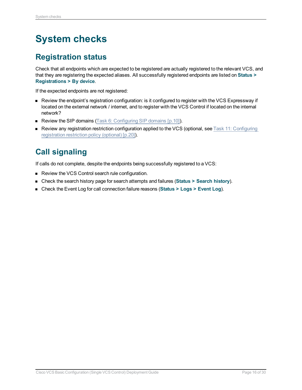## <span id="page-15-0"></span>**System checks**

## <span id="page-15-1"></span>**Registration status**

Check that all endpoints which are expected to be registered are actually registered to the relevant VCS, and that they are registering the expected aliases. All successfully registered endpoints are listed on **Status > Registrations > By device**.

If the expected endpoints are not registered:

- <sup>n</sup> Review the endpoint's registration configuration: is it configured to register with the VCS Expressway if located on the external network / internet, and to register with the VCS Control if located on the internal network?
- Review the SIP domains (Task 6: [Configuring](#page-9-0) SIP domains [p.10]).
- **n** Review any registration restriction configuration applied to the VCS (optional, see Task 11: [Configuring](#page-19-1) [registration](#page-19-1) restriction policy (optional) [p.20]).

## <span id="page-15-2"></span>**Call signaling**

If calls do not complete, despite the endpoints being successfully registered to a VCS:

- Review the VCS Control search rule configuration.
- <sup>n</sup> Check the search history page for search attempts and failures (**Status > Search history**).
- <sup>n</sup> Check the Event Log for call connection failure reasons (**Status > Logs > Event Log**).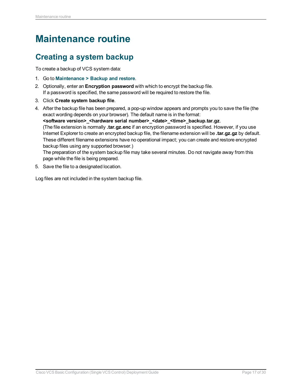## <span id="page-16-0"></span>**Maintenance routine**

## <span id="page-16-1"></span>**Creating a system backup**

To create a backup of VCS system data:

- 1. Go to **Maintenance > Backup and restore**.
- 2. Optionally, enter an **Encryption password** with which to encrypt the backup file. If a password is specified, the same password will be required to restore the file.
- 3. Click **Create system backup file**.
- 4. After the backup file has been prepared, a pop-up window appears and prompts you to save the file (the exact wording depends on your browser). The default name is in the format: **<software version>\_<hardware serial number>\_<date>\_<time>\_backup.tar.gz**. (The file extension is normally **.tar.gz.enc** if an encryption password is specified. However, if you use Internet Explorer to create an encrypted backup file, the filename extension will be **.tar.gz.gz** by default. These different filename extensions have no operational impact; you can create and restore encrypted backup files using any supported browser.) The preparation of the system backup file may take several minutes. Do not navigate away from this page while the file is being prepared.
- 5. Save the file to a designated location.

Log files are not included in the system backup file.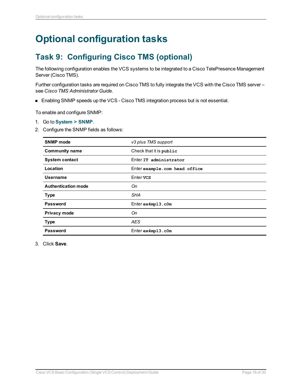## <span id="page-17-1"></span><span id="page-17-0"></span>**Optional configuration tasks**

## **Task 9: Configuring Cisco TMS (optional)**

The following configuration enables the VCS systems to be integrated to a Cisco TelePresence Management Server (Cisco TMS).

Further configuration tasks are required on Cisco TMS to fully integrate the VCS with the Cisco TMS server – see *Cisco TMS Administrator Guide*.

■ Enabling SNMP speeds up the VCS - Cisco TMS integration process but is not essential.

To enable and configure SNMP:

- 1. Go to **System > SNMP**.
- 2. Configure the SNMP fields as follows:

| <b>SNMP</b> mode           | v3 plus TMS support           |
|----------------------------|-------------------------------|
| <b>Community name</b>      | Check that it is public       |
| <b>System contact</b>      | Enter IT administrator        |
| Location                   | Enter example.com head office |
| Username                   | Enter vcs                     |
| <b>Authentication mode</b> | On                            |
| <b>Type</b>                | <b>SHA</b>                    |
| Password                   | $Enter$ $ex4mp13.c0m$         |
| Privacy mode               | On                            |
| <b>Type</b>                | <b>AES</b>                    |
| Password                   | $Enter$ ex4mp13.c0m           |

3. Click **Save**.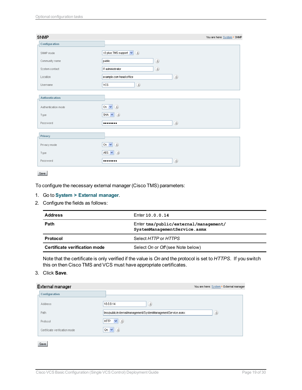| v3 plus TMS support $\vert \mathbf{v} \vert$ (i) |
|--------------------------------------------------|
| $\circledi$<br>public                            |
| $\circledi$<br>IT administrator                  |
| $\circledi$<br>example.com head office           |
| $\circledi$<br>VCS.                              |
|                                                  |
| (i)<br>On $\vee$                                 |
| SHA $\vee$ $(i)$                                 |
| $\circledi$<br>                                  |
|                                                  |
| On $\vee$ ( <i>i</i> )                           |
| AES $\vee$ ( <i>i</i> )                          |
| $\textcircled{\textsc{i}}$<br>                   |
|                                                  |

#### Save

To configure the necessary external manager (Cisco TMS) parameters:

#### 1. Go to **System > External manager**.

2. Configure the fields as follows:

| <b>Address</b>                | Enter 10.0.0.14                                                       |
|-------------------------------|-----------------------------------------------------------------------|
| Path                          | Enter tms/public/external/management/<br>SystemManagementService.asmx |
| Protocol                      | Select HTTP or HTTPS                                                  |
| Certificate verification mode | Select On or Off (see Note below)                                     |

Note that the certificate is only verified if the value is *On* and the protocol is set to *HTTPS*. If you switch this on then Cisco TMS and VCS must have appropriate certificates.

#### 3. Click **Save**.

| <b>External manager</b>       |                                                             |     | You are here: System > External manager |
|-------------------------------|-------------------------------------------------------------|-----|-----------------------------------------|
| Configuration                 |                                                             |     |                                         |
| Address                       | (i)<br>10.0.0.14                                            |     |                                         |
| Path                          | tms/public/external/management/SystemManagementService.asmx | (i) |                                         |
| Protocol                      | (i)<br><b>HTTP</b><br>$\vee$                                |     |                                         |
| Certificate verification mode | (i)<br>On $\vee$                                            |     |                                         |
|                               |                                                             |     |                                         |
| Save                          |                                                             |     |                                         |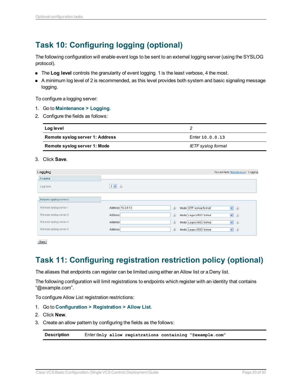## <span id="page-19-0"></span>**Task 10: Configuring logging (optional)**

The following configuration will enable event logs to be sent to an external logging server (using the SYSLOG protocol).

- **n** The Log level controls the granularity of event logging. 1 is the least verbose, 4 the most.
- A minimum log level of 2 is recommended, as this level provides both system and basic signaling message logging.

To configure a logging server:

- 1. Go to **Maintenance > Logging**.
- 2. Configure the fields as follows:

| Log level                       |                    |
|---------------------------------|--------------------|
| Remote syslog server 1: Address | Enter 10.0.0.13    |
| Remote syslog server 1: Mode    | IETF syslog format |

#### 3. Click **Save**.

| Logging                |                   | You are here: Maintenance > Logging          |
|------------------------|-------------------|----------------------------------------------|
| Logging                |                   |                                              |
| Log level              | $2 \vee i$        |                                              |
| Remote syslog servers  |                   |                                              |
| Remote syslog server 1 | Address 10.0.0.13 | (i)<br>$\vee$ (i)<br>Mode IETF syslog format |
| Remote syslog server 2 | Address           | (i)<br>$\vee$ (i)<br>Mode Legacy BSD format  |
| Remote syslog server 3 | Address           | (i)<br>$\vee$ (i)<br>Mode Legacy BSD format  |
| Remote syslog server 4 | Address           | (i)<br>$\vee$ (i)<br>Mode Legacy BSD format  |
|                        |                   |                                              |

<span id="page-19-1"></span>Save

## **Task 11: Configuring registration restriction policy (optional)**

The aliases that endpoints can register can be limited using either an Allow list or a Deny list.

The following configuration will limit registrations to endpoints which register with an identity that contains "@example.com".

To configure Allow List registration restrictions:

- 1. Go to **Configuration > Registration > Allow List**.
- 2. Click **New**.
- 3. Create an allow pattern by configuring the fields as the follows:

**Description** Enter **Only allow registrations containing "@example.com"**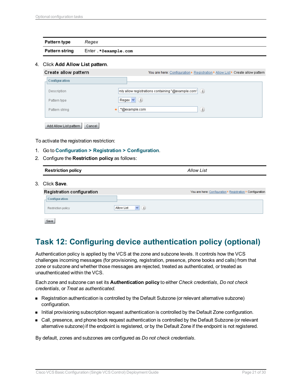| Pattern type          | Regex               |
|-----------------------|---------------------|
| <b>Pattern string</b> | Enter.*@example.com |

#### 4. Click **Add Allow List pattern**.

| Create allow pattern             | You are here: Configuration ▶ Registration ▶ Allow List ▶ Create allow pattern        |
|----------------------------------|---------------------------------------------------------------------------------------|
| Configuration                    |                                                                                       |
| Description                      | $\left $ inly allow registrations containing "@example.com" ( $\left  i\right\rangle$ |
| Pattern type                     | Regex $\vee$<br>(i)                                                                   |
| Pattern string                   | (i)<br>.*@example.com<br>÷.                                                           |
|                                  |                                                                                       |
| Add Allow List pattern<br>Cancel |                                                                                       |

To activate the registration restriction:

- 1. Go to **Configuration > Registration > Configuration**.
- 2. Configure the **Restriction policy** as follows:

| <b>Restriction policy</b>  | <b>Allow List</b>                                          |  |
|----------------------------|------------------------------------------------------------|--|
| 3. Click <b>Save</b> .     |                                                            |  |
| Registration configuration | You are here: Configuration > Registration > Configuration |  |
| Configuration              |                                                            |  |
| Restriction policy         | (i)<br>Allow List<br>$\vee$                                |  |
|                            |                                                            |  |

Save

## <span id="page-20-0"></span>**Task 12: Configuring device authentication policy (optional)**

Authentication policy is applied by the VCS at the zone and subzone levels. It controls how the VCS challenges incoming messages (for provisioning, registration, presence, phone books and calls) from that zone or subzone and whether those messages are rejected, treated as authenticated, or treated as unauthenticated within the VCS.

Each zone and subzone can set its **Authentication policy** to either *Check credentials*, *Do not check credentials*, or *Treat as authenticated*.

- <sup>n</sup> Registration authentication is controlled by the Default Subzone (or relevant alternative subzone) configuration.
- nitial provisioning subscription request authentication is controlled by the Default Zone configuration.
- <sup>n</sup> Call, presence, and phone book request authentication is controlled by the Default Subzone (or relevant alternative subzone) if the endpoint is registered, or by the Default Zone if the endpoint is not registered.

By default, zones and subzones are configured as *Do not check credentials*.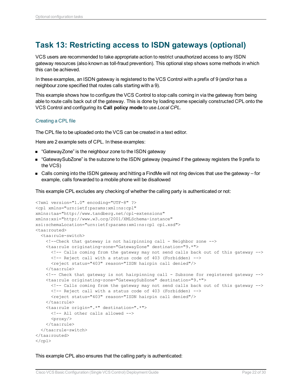## <span id="page-21-0"></span>**Task 13: Restricting access to ISDN gateways (optional)**

VCS users are recommended to take appropriate action to restrict unauthorized access to any ISDN gateway resources (also known as toll-fraud prevention). This optional step shows some methods in which this can be achieved.

In these examples, an ISDN gateway is registered to the VCS Control with a prefix of 9 (and/or has a neighbour zone specified that routes calls starting with a 9).

This example shows how to configure the VCS Control to stop calls coming in via the gateway from being able to route calls back out of the gateway. This is done by loading some specially constructed CPL onto the VCS Control and configuring its **Call policy mode** to use *Local CPL*.

#### Creating a CPL file

The CPL file to be uploaded onto the VCS can be created in a text editor.

Here are 2 example sets of CPL. In these examples:

- "GatewayZone" is the neighbour zone to the ISDN gateway
- "GatewaySubZone" is the subzone to the ISDN gateway (required if the gateway registers the 9 prefix to the VCS)
- Calls coming into the ISDN gateway and hitting a FindMe will not ring devices that use the gateway for example, calls forwarded to a mobile phone will be disallowed

This example CPL excludes any checking of whether the calling party is authenticated or not:

```
<?xml version="1.0" encoding="UTF-8" ?>
<cpl xmlns="urn:ietf:params:xml:ns:cpl"
xmlns:taa="http://www.tandberg.net/cpl-extensions"
xmlns:xsi="http://www.w3.org/2001/XMLSchema-instance"
xsi:schemaLocation="urn:ietf:params:xml:ns:cpl cpl.xsd">
<taa:routed>
  <taa:rule-switch>
   <!--Check that gateway is not hairpinning call - Neighbor zone -->
    <taa:rule originating-zone="GatewayZone" destination="9.*">
      <!-- Calls coming from the gateway may not send calls back out of this gateway -->
     <!-- Reject call with a status code of 403 (Forbidden) -->
     <reject status="403" reason="ISDN hairpin call denied"/>
    </taa:rule>
    <!-- Check that gateway is not hairpinning call - Subzone for registered gateway -->
    <taa:rule originating-zone="GatewaySubZone" destination="9.*">
      <!-- Calls coming from the gateway may not send calls back out of this gateway -->
      <!-- Reject call with a status code of 403 (Forbidden) -->
      <reject status="403" reason="ISDN hairpin call denied"/>
    </taa:rule>
    <taa:rule origin=".*" destination=".*">
     <!-- All other calls allowed -->
      <proxy/>
    </taa:rule>
  </taa:rule-switch>
</taa:routed>
\langle / cpl >
```
This example CPL also ensures that the calling party is authenticated: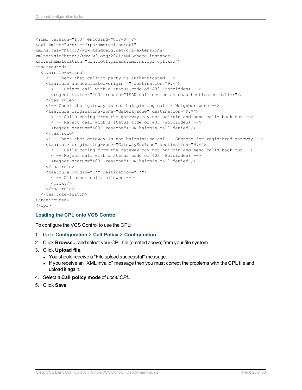```
<?xml version="1.0" encoding="UTF-8" ?>
<cpl xmlns="urn:ietf:params:xml:ns:cpl"
xmlns:taa="http://www.tandberg.net/cpl-extensions"
xmlns:xsi="http://www.w3.org/2001/XMLSchema-instance"
xsi:schemaLocation="urn:ietf:params:xml:ns:cpl cpl.xsd">
<taa:routed>
  <taa:rule-switch>
    <!-- Check that calling party is authenticated -->
   <taa:rule authenticated-origin="" destination="9.*">
     <!-- Reject call with a status code of 403 (Forbidden) -->
      <reject status="403" reason="ISDN call denied as unauthenticated caller"/>
    </taa:rule>
    <!-- Check that gateway is not hairpinning call - Neighbor zone -->
    <taa:rule originating-zone="GatewayZone" destination="9.*">
      <!-- Calls coming from the gateway may not hairpin and send calls back out -->
      <!-- Reject call with a status code of 403 (Forbidden) -->
      <reject status="403" reason="ISDN hairpin call denied"/>
    </taa:rule>
    <!-- Check that gateway is not hairpinning call - Subzone for registered gateway -->
    <taa:rule originating-zone="GatewaySubZone" destination="9.*">
      <!-- Calls coming from the gateway may not hairpin and send calls back out -->
     <!-- Reject call with a status code of 403 (Forbidden) -->
      <reject status="403" reason="ISDN hairpin call denied"/>
    </taa:rule>
    <taa:rule origin=".*" destination=".*">
     <!-- All other calls allowed -->
      <proxy/>
    </taa:rule>
  </taa:rule-switch>
</taa:routed>
\langle / cpl >
```
#### **Loading the CPL onto VCS Control**

To configure the VCS Control to use the CPL:

- 1. Go to **Configuration > Call Policy > Configuration**.
- 2. Click **Browse...** and select your CPL file (created above) from your file system.
- 3. Click **Upload file**.
	- You should receive a "File upload successful" message.
	- If you receive an "XML invalid" message then you must correct the problems with the CPL file and upload it again.
- 4. Select a **Call policy mode** of *Local CPL*.
- 5. Click **Save**.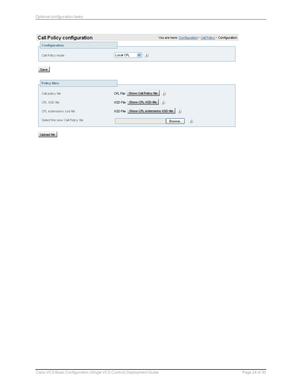| Call Policy configuration       | You are here: Configuration ▶ Call Policy ▶ Configuration |
|---------------------------------|-----------------------------------------------------------|
| Configuration                   |                                                           |
| Call Policy mode                | $\vee$ (i)<br>Local CPL                                   |
| Save                            |                                                           |
| <b>Policy files</b>             |                                                           |
| Call policy file                | Show Call Policy file $(i)$<br>CPL File                   |
| CPL XSD file                    | Show CPL XSD file<br>(i)<br>XSD File                      |
| CPL extensions xsd file         | XSD File Show CPL extensions XSD file $(i)$               |
| Select the new Call Policy file | (i)<br>Browse                                             |

Upload file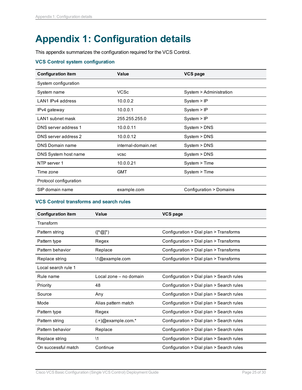## <span id="page-24-0"></span>**Appendix 1: Configuration details**

This appendix summarizes the configuration required for the VCS Control.

#### **VCS Control system configuration**

| <b>Configuration item</b> | <b>Value</b>        | <b>VCS page</b>         |  |
|---------------------------|---------------------|-------------------------|--|
| System configuration      |                     |                         |  |
| System name               | <b>VCSc</b>         | System > Administration |  |
| LAN1 IPv4 address         | 10.0.0.2            | System > IP             |  |
| IPv4 gateway              | 10.0.0.1            | System > IP             |  |
| LAN1 subnet mask          | 255.255.255.0       | System > IP             |  |
| DNS server address 1      | 10.0.0.11           | System > DNS            |  |
| DNS server address 2      | 10.0.0.12           | System > DNS            |  |
| <b>DNS Domain name</b>    | internal-domain.net | System > DNS            |  |
| DNS System host name      | <b>VCSC</b>         | System > DNS            |  |
| NTP server 1              | 10.0.0.21           | System > Time           |  |
| Time zone                 | <b>GMT</b>          | System > Time           |  |
| Protocol configuration    |                     |                         |  |
| SIP domain name           | example.com         | Configuration > Domains |  |

#### **VCS Control transforms and search rules**

| <b>Configuration item</b> | <b>Value</b>                                        | VCS page                                 |  |
|---------------------------|-----------------------------------------------------|------------------------------------------|--|
| Transform                 |                                                     |                                          |  |
| Pattern string            | $([^{\wedge} \textcircled{a}]^{\star})$             | Configuration > Dial plan > Transforms   |  |
| Pattern type              | Regex                                               | Configuration > Dial plan > Transforms   |  |
| Pattern behavior          | Replace                                             | Configuration > Dial plan > Transforms   |  |
| Replace string            | \1@example.com                                      | Configuration > Dial plan > Transforms   |  |
| Local search rule 1       |                                                     |                                          |  |
| Rule name                 | Local zone – no domain                              | Configuration > Dial plan > Search rules |  |
| Priority                  | 48                                                  | Configuration > Dial plan > Search rules |  |
| Source                    | Any                                                 | Configuration > Dial plan > Search rules |  |
| Mode                      | Alias pattern match                                 | Configuration > Dial plan > Search rules |  |
| Pattern type              | Regex                                               | Configuration > Dial plan > Search rules |  |
| Pattern string            | $(.+)$ @example.com.*                               | Configuration > Dial plan > Search rules |  |
| Pattern behavior          | Configuration > Dial plan > Search rules<br>Replace |                                          |  |
| Replace string            | $\backslash$ 1                                      | Configuration > Dial plan > Search rules |  |
| On successful match       | Continue                                            | Configuration > Dial plan > Search rules |  |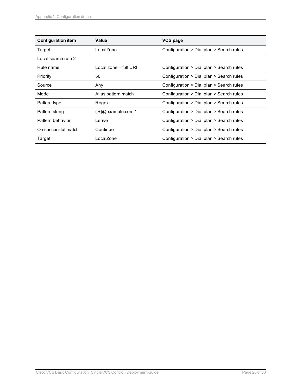| <b>Configuration item</b> | Value                 | <b>VCS page</b>                          |
|---------------------------|-----------------------|------------------------------------------|
| Target                    | LocalZone             | Configuration > Dial plan > Search rules |
| Local search rule 2       |                       |                                          |
| Rule name                 | Local zone - full URI | Configuration > Dial plan > Search rules |
| Priority                  | 50                    | Configuration > Dial plan > Search rules |
| Source                    | Any                   | Configuration > Dial plan > Search rules |
| Mode                      | Alias pattern match   | Configuration > Dial plan > Search rules |
| Pattern type              | Regex                 | Configuration > Dial plan > Search rules |
| Pattern string            | $(.+)$ @example.com.* | Configuration > Dial plan > Search rules |
| Pattern behavior          | Leave                 | Configuration > Dial plan > Search rules |
| On successful match       | Continue              | Configuration > Dial plan > Search rules |
| Target                    | LocalZone             | Configuration > Dial plan > Search rules |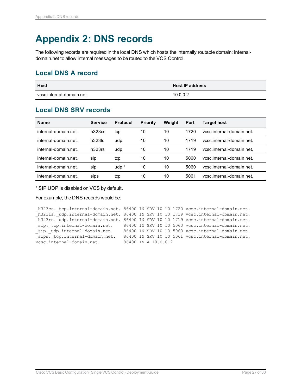## <span id="page-26-0"></span>**Appendix 2: DNS records**

The following records are required in the local DNS which hosts the internally routable domain: internaldomain.net to allow internal messages to be routed to the VCS Control.

### <span id="page-26-1"></span>**Local DNS A record**

| <b>Host</b>              | <b>Host IP address</b> |
|--------------------------|------------------------|
| vcsc.internal-domain.net | 10.0.0.2               |

### <span id="page-26-2"></span>**Local DNS SRV records**

| Name                 | <b>Service</b> | <b>Protocol</b> | <b>Priority</b> | Weiaht | Port | Target host               |
|----------------------|----------------|-----------------|-----------------|--------|------|---------------------------|
| internal-domain.net. | h323cs         | tcp             | 10              | 10     | 1720 | vcsc.internal-domain.net. |
| internal-domain.net. | $h323$ ls      | udp             | 10              | 10     | 1719 | vcsc.internal-domain.net. |
| internal-domain.net. | h323rs         | udp             | 10              | 10     | 1719 | vcsc.internal-domain.net  |
| internal-domain net  | sip            | tcp             | 10              | 10     | 5060 | ycsc.internal-domain.net. |
| internal-domain.net. | sip            | $udp^*$         | 10              | 10     | 5060 | ycsc.internal-domain.net. |
| internal-domain.net. | sips           | tcp             | 10              | 10     | 5061 | vcsc.internal-domain.net. |

\* SIP UDP is disabled on VCS by default.

For example, the DNS records would be:

```
_h323cs._tcp.internal-domain.net. 86400 IN SRV 10 10 1720 vcsc.internal-domain.net.
h323ls. udp.internal-domain.net. 86400 IN SRV 10 10 1719 vcsc.internal-domain.net.
_h323rs._udp.internal-domain.net. 86400 IN SRV 10 10 1719 vcsc.internal-domain.net.
sip. tcp.internal-domain.net. 86400 IN SRV 10 10 5060 vcsc.internal-domain.net.
sip. udp.internal-domain.net. 86400 IN SRV 10 10 5060 vcsc.internal-domain.net.
sips. tcp.internal-domain.net. 86400 IN SRV 10 10 5061 vcsc.internal-domain.net.
vcsc.internal-domain.net. 86400 IN A 10.0.0.2
```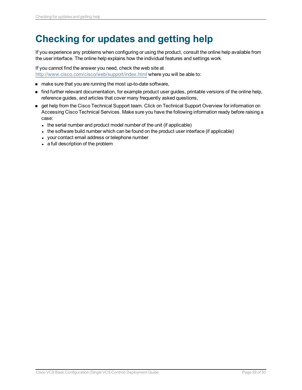## <span id="page-27-0"></span>**Checking for updates and getting help**

If you experience any problems when configuring or using the product, consult the online help available from the user interface. The online help explains how the individual features and settings work.

If you cannot find the answer you need, check the web site at <http://www.cisco.com/cisco/web/support/index.html> where you will be able to:

- n make sure that you are running the most up-to-date software,
- <sup>n</sup> find further relevant documentation, for example product user guides, printable versions of the online help, reference guides, and articles that cover many frequently asked questions,
- get help from the Cisco Technical Support team. Click on Technical Support Overview for information on Accessing Cisco Technical Services. Make sure you have the following information ready before raising a case:
	- $\bullet$  the serial number and product model number of the unit (if applicable)
	- In the software build number which can be found on the product user interface (if applicable)
	- your contact email address or telephone number
	- a full description of the problem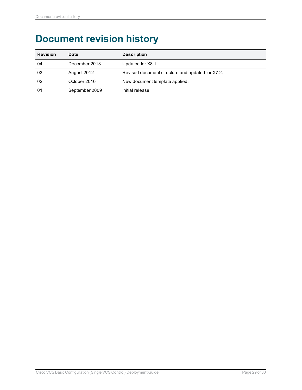## <span id="page-28-0"></span>**Document revision history**

| <b>Revision</b> | <b>Date</b>    | <b>Description</b>                               |
|-----------------|----------------|--------------------------------------------------|
| 04              | December 2013  | Updated for X8.1.                                |
| 03              | August 2012    | Revised document structure and updated for X7.2. |
| 02              | October 2010   | New document template applied.                   |
| 01              | September 2009 | Initial release.                                 |